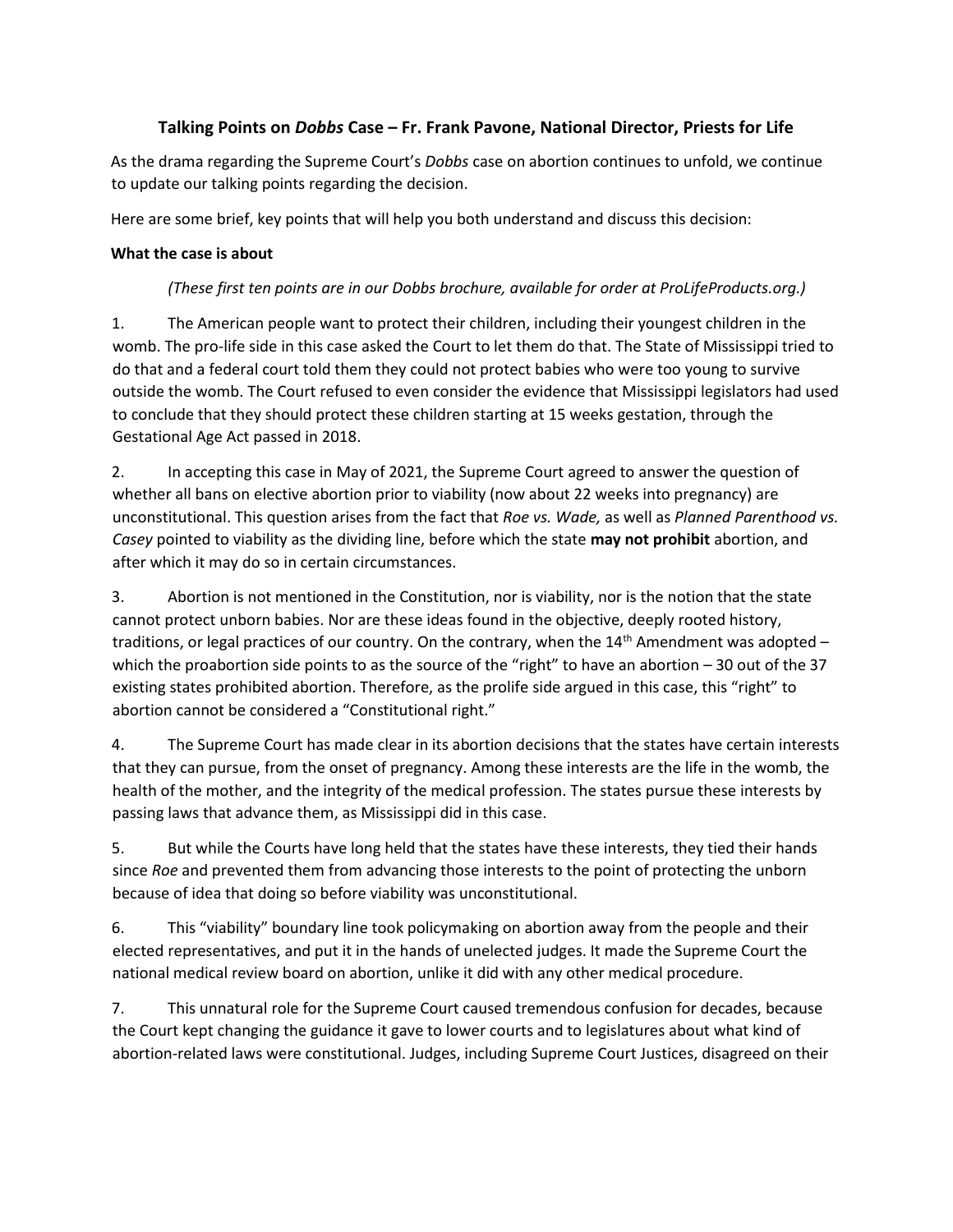# **Talking Points on** *Dobbs* **Case – Fr. Frank Pavone, National Director, Priests for Life**

As the drama regarding the Supreme Court's *Dobbs* case on abortion continues to unfold, we continue to update our talking points regarding the decision.

Here are some brief, key points that will help you both understand and discuss this decision:

### **What the case is about**

## *(These first ten points are in our Dobbs brochure, available for order at ProLifeProducts.org.)*

1. The American people want to protect their children, including their youngest children in the womb. The pro-life side in this case asked the Court to let them do that. The State of Mississippi tried to do that and a federal court told them they could not protect babies who were too young to survive outside the womb. The Court refused to even consider the evidence that Mississippi legislators had used to conclude that they should protect these children starting at 15 weeks gestation, through the Gestational Age Act passed in 2018.

2. In accepting this case in May of 2021, the Supreme Court agreed to answer the question of whether all bans on elective abortion prior to viability (now about 22 weeks into pregnancy) are unconstitutional. This question arises from the fact that *Roe vs. Wade,* as well as *Planned Parenthood vs. Casey* pointed to viability as the dividing line, before which the state **may not prohibit** abortion, and after which it may do so in certain circumstances.

3. Abortion is not mentioned in the Constitution, nor is viability, nor is the notion that the state cannot protect unborn babies. Nor are these ideas found in the objective, deeply rooted history, traditions, or legal practices of our country. On the contrary, when the  $14<sup>th</sup>$  Amendment was adopted – which the proabortion side points to as the source of the "right" to have an abortion – 30 out of the 37 existing states prohibited abortion. Therefore, as the prolife side argued in this case, this "right" to abortion cannot be considered a "Constitutional right."

4. The Supreme Court has made clear in its abortion decisions that the states have certain interests that they can pursue, from the onset of pregnancy. Among these interests are the life in the womb, the health of the mother, and the integrity of the medical profession. The states pursue these interests by passing laws that advance them, as Mississippi did in this case.

5. But while the Courts have long held that the states have these interests, they tied their hands since *Roe* and prevented them from advancing those interests to the point of protecting the unborn because of idea that doing so before viability was unconstitutional.

6. This "viability" boundary line took policymaking on abortion away from the people and their elected representatives, and put it in the hands of unelected judges. It made the Supreme Court the national medical review board on abortion, unlike it did with any other medical procedure.

7. This unnatural role for the Supreme Court caused tremendous confusion for decades, because the Court kept changing the guidance it gave to lower courts and to legislatures about what kind of abortion-related laws were constitutional. Judges, including Supreme Court Justices, disagreed on their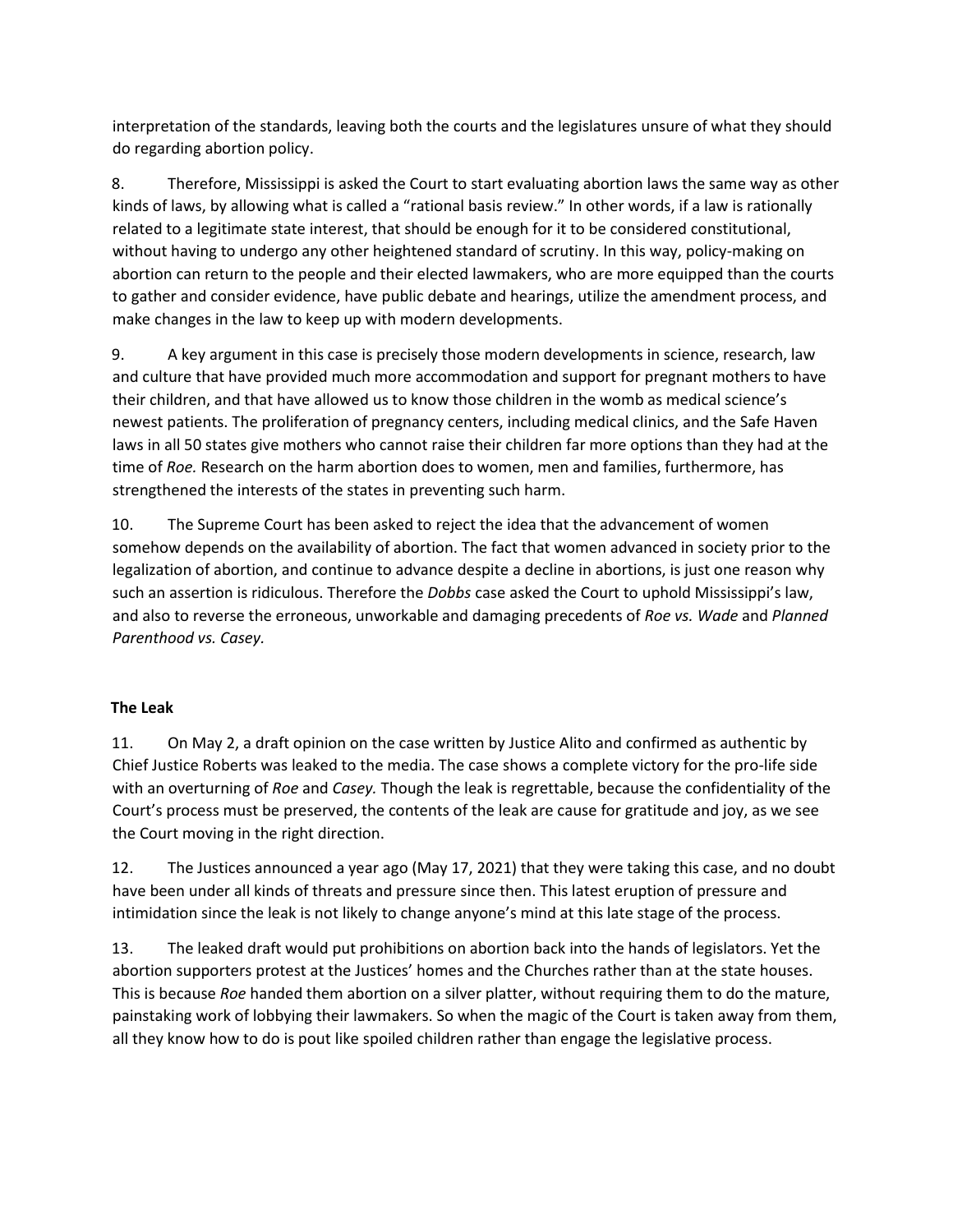interpretation of the standards, leaving both the courts and the legislatures unsure of what they should do regarding abortion policy.

8. Therefore, Mississippi is asked the Court to start evaluating abortion laws the same way as other kinds of laws, by allowing what is called a "rational basis review." In other words, if a law is rationally related to a legitimate state interest, that should be enough for it to be considered constitutional, without having to undergo any other heightened standard of scrutiny. In this way, policy-making on abortion can return to the people and their elected lawmakers, who are more equipped than the courts to gather and consider evidence, have public debate and hearings, utilize the amendment process, and make changes in the law to keep up with modern developments.

9. A key argument in this case is precisely those modern developments in science, research, law and culture that have provided much more accommodation and support for pregnant mothers to have their children, and that have allowed us to know those children in the womb as medical science's newest patients. The proliferation of pregnancy centers, including medical clinics, and the Safe Haven laws in all 50 states give mothers who cannot raise their children far more options than they had at the time of *Roe.* Research on the harm abortion does to women, men and families, furthermore, has strengthened the interests of the states in preventing such harm.

10. The Supreme Court has been asked to reject the idea that the advancement of women somehow depends on the availability of abortion. The fact that women advanced in society prior to the legalization of abortion, and continue to advance despite a decline in abortions, is just one reason why such an assertion is ridiculous. Therefore the *Dobbs* case asked the Court to uphold Mississippi's law, and also to reverse the erroneous, unworkable and damaging precedents of *Roe vs. Wade* and *Planned Parenthood vs. Casey.* 

### **The Leak**

11. On May 2, a draft opinion on the case written by Justice Alito and confirmed as authentic by Chief Justice Roberts was leaked to the media. The case shows a complete victory for the pro-life side with an overturning of *Roe* and *Casey.* Though the leak is regrettable, because the confidentiality of the Court's process must be preserved, the contents of the leak are cause for gratitude and joy, as we see the Court moving in the right direction.

12. The Justices announced a year ago (May 17, 2021) that they were taking this case, and no doubt have been under all kinds of threats and pressure since then. This latest eruption of pressure and intimidation since the leak is not likely to change anyone's mind at this late stage of the process.

13. The leaked draft would put prohibitions on abortion back into the hands of legislators. Yet the abortion supporters protest at the Justices' homes and the Churches rather than at the state houses. This is because *Roe* handed them abortion on a silver platter, without requiring them to do the mature, painstaking work of lobbying their lawmakers. So when the magic of the Court is taken away from them, all they know how to do is pout like spoiled children rather than engage the legislative process.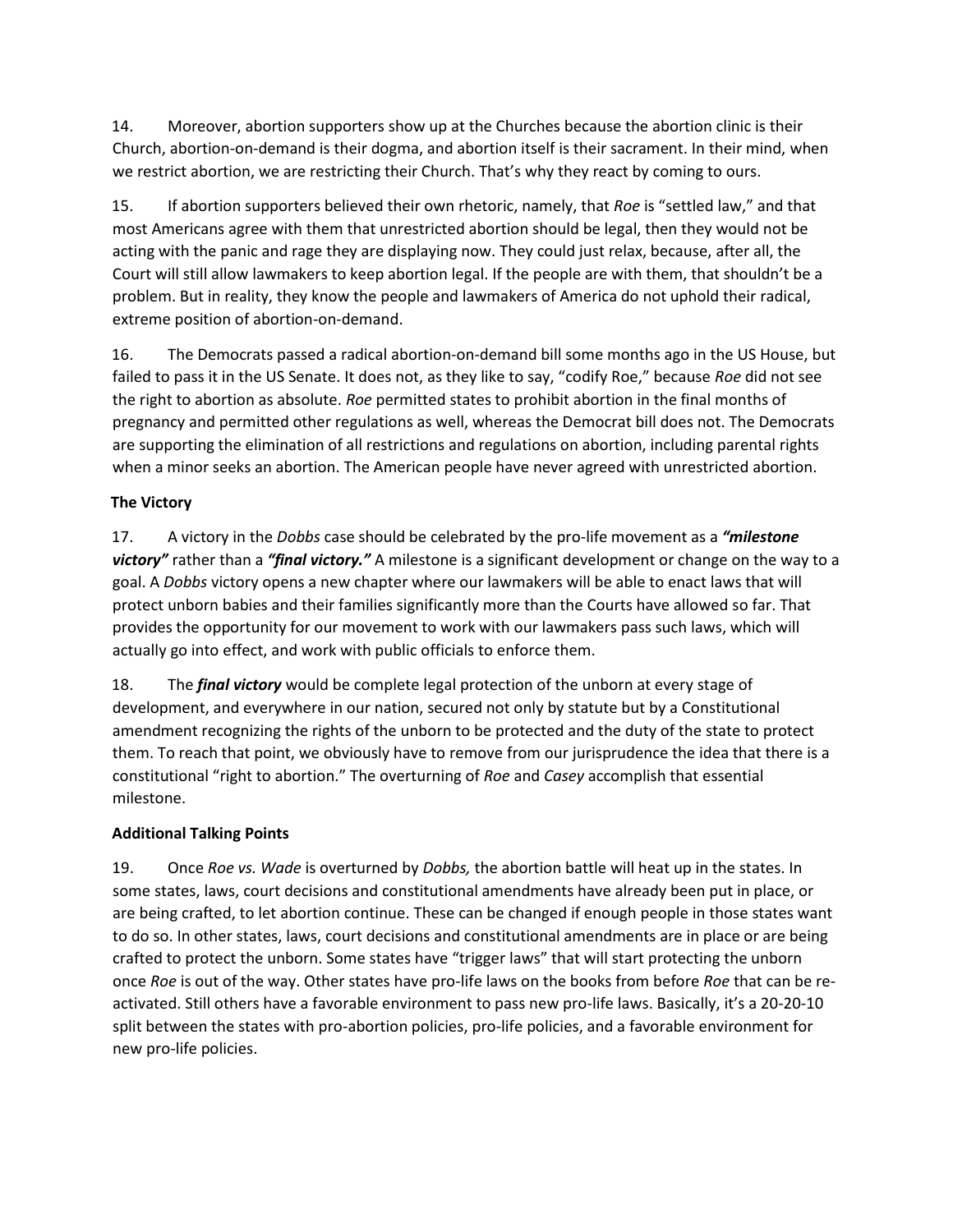14. Moreover, abortion supporters show up at the Churches because the abortion clinic is their Church, abortion-on-demand is their dogma, and abortion itself is their sacrament. In their mind, when we restrict abortion, we are restricting their Church. That's why they react by coming to ours.

15. If abortion supporters believed their own rhetoric, namely, that *Roe* is "settled law," and that most Americans agree with them that unrestricted abortion should be legal, then they would not be acting with the panic and rage they are displaying now. They could just relax, because, after all, the Court will still allow lawmakers to keep abortion legal. If the people are with them, that shouldn't be a problem. But in reality, they know the people and lawmakers of America do not uphold their radical, extreme position of abortion-on-demand.

16. The Democrats passed a radical abortion-on-demand bill some months ago in the US House, but failed to pass it in the US Senate. It does not, as they like to say, "codify Roe," because *Roe* did not see the right to abortion as absolute. *Roe* permitted states to prohibit abortion in the final months of pregnancy and permitted other regulations as well, whereas the Democrat bill does not. The Democrats are supporting the elimination of all restrictions and regulations on abortion, including parental rights when a minor seeks an abortion. The American people have never agreed with unrestricted abortion.

### **The Victory**

17. A victory in the *Dobbs* case should be celebrated by the pro-life movement as a *"milestone victory"* rather than a *"final victory."* A milestone is a significant development or change on the way to a goal. A *Dobbs* victory opens a new chapter where our lawmakers will be able to enact laws that will protect unborn babies and their families significantly more than the Courts have allowed so far. That provides the opportunity for our movement to work with our lawmakers pass such laws, which will actually go into effect, and work with public officials to enforce them.

18. The *final victory* would be complete legal protection of the unborn at every stage of development, and everywhere in our nation, secured not only by statute but by a Constitutional amendment recognizing the rights of the unborn to be protected and the duty of the state to protect them. To reach that point, we obviously have to remove from our jurisprudence the idea that there is a constitutional "right to abortion." The overturning of *Roe* and *Casey* accomplish that essential milestone.

#### **Additional Talking Points**

19. Once *Roe vs. Wade* is overturned by *Dobbs,* the abortion battle will heat up in the states. In some states, laws, court decisions and constitutional amendments have already been put in place, or are being crafted, to let abortion continue. These can be changed if enough people in those states want to do so. In other states, laws, court decisions and constitutional amendments are in place or are being crafted to protect the unborn. Some states have "trigger laws" that will start protecting the unborn once *Roe* is out of the way. Other states have pro-life laws on the books from before *Roe* that can be reactivated. Still others have a favorable environment to pass new pro-life laws. Basically, it's a 20-20-10 split between the states with pro-abortion policies, pro-life policies, and a favorable environment for new pro-life policies.